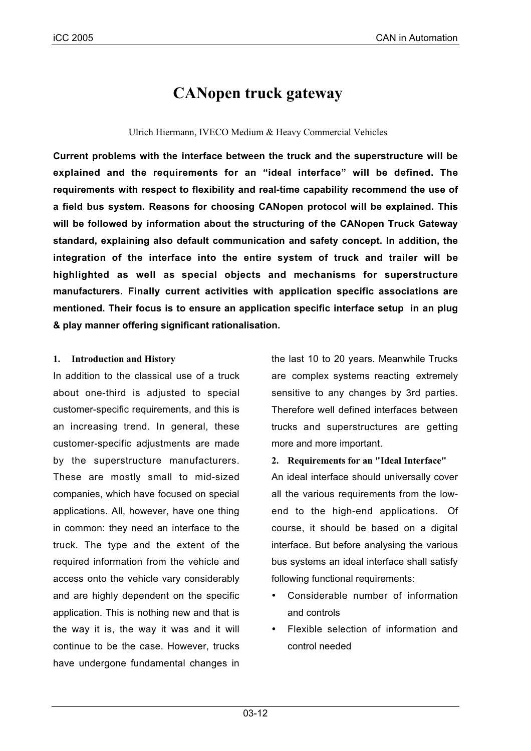# **CANopen truck gateway**

# Ulrich Hiermann, IVECO Medium & Heavy Commercial Vehicles

**Current problems with the interface between the truck and the superstructure will be explained and the requirements for an "ideal interface" will be defined. The requirements with respect to flexibility and real-time capability recommend the use of a field bus system. Reasons for choosing CANopen protocol will be explained. This will be followed by information about the structuring of the CANopen Truck Gateway standard, explaining also default communication and safety concept. In addition, the integration of the interface into the entire system of truck and trailer will be highlighted as well as special objects and mechanisms for superstructure manufacturers. Finally current activities with application specific associations are mentioned. Their focus is to ensure an application specific interface setup in an plug & play manner offering significant rationalisation.**

# **1. Introduction and History**

In addition to the classical use of a truck about one-third is adjusted to special customer-specific requirements, and this is an increasing trend. In general, these customer-specific adjustments are made by the superstructure manufacturers. These are mostly small to mid-sized companies, which have focused on special applications. All, however, have one thing in common: they need an interface to the truck. The type and the extent of the required information from the vehicle and access onto the vehicle vary considerably and are highly dependent on the specific application. This is nothing new and that is the way it is, the way it was and it will continue to be the case. However, trucks have undergone fundamental changes in

the last 10 to 20 years. Meanwhile Trucks are complex systems reacting extremely sensitive to any changes by 3rd parties. Therefore well defined interfaces between trucks and superstructures are getting more and more important.

**2. Requirements for an "Ideal Interface"**

An ideal interface should universally cover all the various requirements from the lowend to the high-end applications. Of course, it should be based on a digital interface. But before analysing the various bus systems an ideal interface shall satisfy following functional requirements:

- Considerable number of information and controls
- Flexible selection of information and control needed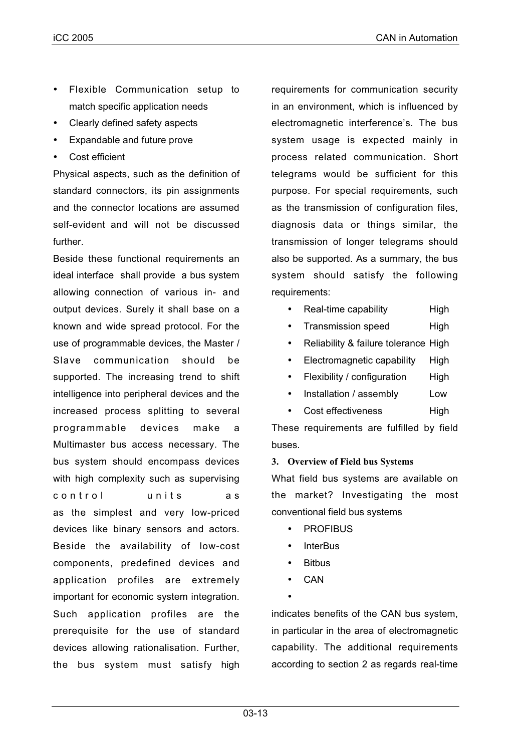- Flexible Communication setup to match specific application needs
- Clearly defined safety aspects
- Expandable and future prove
- Cost efficient

Physical aspects, such as the definition of standard connectors, its pin assignments and the connector locations are assumed self-evident and will not be discussed further.

Beside these functional requirements an ideal interface shall provide a bus system allowing connection of various in- and output devices. Surely it shall base on a known and wide spread protocol. For the use of programmable devices, the Master / Slave communication should be supported. The increasing trend to shift intelligence into peripheral devices and the increased process splitting to several programmable devices make a Multimaster bus access necessary. The bus system should encompass devices with high complexity such as supervising control units as as the simplest and very low-priced devices like binary sensors and actors. Beside the availability of low-cost components, predefined devices and application profiles are extremely important for economic system integration. Such application profiles are the prerequisite for the use of standard devices allowing rationalisation. Further, the bus system must satisfy high

requirements for communication security in an environment, which is influenced by electromagnetic interference's. The bus system usage is expected mainly in process related communication. Short telegrams would be sufficient for this purpose. For special requirements, such as the transmission of configuration files, diagnosis data or things similar, the transmission of longer telegrams should also be supported. As a summary, the bus system should satisfy the following requirements:

- Real-time capability High
- Transmission speed High
- Reliability & failure tolerance High
- Electromagnetic capability High
- Flexibility / configuration High
- Installation / assembly Low
- Cost effectiveness High

These requirements are fulfilled by field buses.

# **3. Overview of Field bus Systems**

What field bus systems are available on the market? Investigating the most conventional field bus systems

- **PROFIBUS**
- InterBus
- **Bitbus**
- CAN
- •

indicates benefits of the CAN bus system, in particular in the area of electromagnetic capability. The additional requirements according to section 2 as regards real-time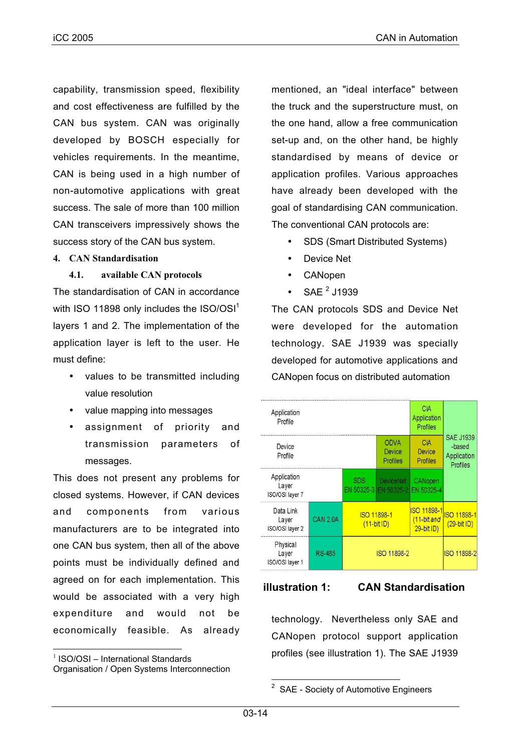capability, transmission speed, flexibility and cost effectiveness are fulfilled by the CAN bus system. CAN was originally developed by BOSCH especially for vehicles requirements. In the meantime, CAN is being used in a high number of non-automotive applications with great success. The sale of more than 100 million CAN transceivers impressively shows the success story of the CAN bus system.

### **4. CAN Standardisation**

# **4.1. available CAN protocols**

The standardisation of CAN in accordance with ISO 11898 only includes the  $ISO/OSI<sup>1</sup>$ layers 1 and 2. The implementation of the application layer is left to the user. He must define:

- values to be transmitted including value resolution
- value mapping into messages
- assignment of priority and transmission parameters of messages.

This does not present any problems for closed systems. However, if CAN devices and components from various manufacturers are to be integrated into one CAN bus system, then all of the above points must be individually defined and agreed on for each implementation. This would be associated with a very high expenditure and would not be economically feasible. As already mentioned, an "ideal interface" between the truck and the superstructure must, on the one hand, allow a free communication set-up and, on the other hand, be highly standardised by means of device or application profiles. Various approaches have already been developed with the goal of standardising CAN communication. The conventional CAN protocols are:

- SDS (Smart Distributed Systems)
- Device Net
- CANopen
- SAE $^2$  J1939

The CAN protocols SDS and Device Net were developed for the automation technology. SAE J1939 was specially developed for automotive applications and CANopen focus on distributed automation

| Application<br>Profile                  |                 |             |                                                      | CiA<br>Application<br>Profiles           |                                                       |
|-----------------------------------------|-----------------|-------------|------------------------------------------------------|------------------------------------------|-------------------------------------------------------|
| Device<br>Profile                       |                 |             | <b>ODVA</b><br>Device<br>Profiles                    | CiA<br>Device<br>Profiles                | <b>SAE J1939</b><br>-based<br>Application<br>Profiles |
| Application<br>Layer<br>ISO/OSI layer 7 |                 | <b>SDS</b>  | <b>DeviceNet</b><br>EN 50325-3 EN 50325-2 EN 50325-4 | CANopen                                  |                                                       |
| Data Link<br>Layer<br>ISO/OSI layer 2   | <b>CAN 2.0A</b> | ISO 11898-1 | $(11-bit ID)$                                        | ISO 11898-1<br>(11-bit and<br>29-bit ID) | <b>SO 11898-1</b><br>$(29-bit ID)$                    |
| Physical<br>Layer<br>ISO/OSI layer 1    | RS-485          | ISO 11898-2 |                                                      |                                          | <b>ISO 11898-2</b>                                    |

# **illustration 1: CAN Standardisation**

technology. Nevertheless only SAE and CANopen protocol support application profiles (see illustration 1). The SAE J1939

 $1$  ISO/OSI – International Standards

Organisation / Open Systems Interconnection

SAE - Society of Automotive Engineers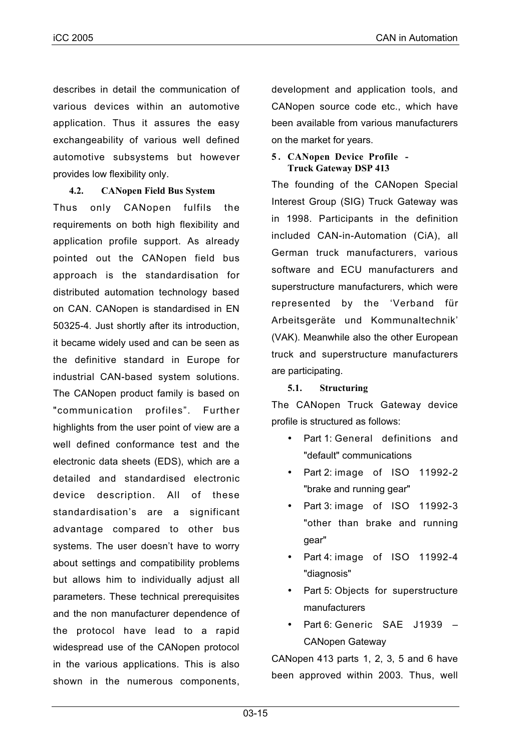describes in detail the communication of various devices within an automotive application. Thus it assures the easy exchangeability of various well defined automotive subsystems but however provides low flexibility only.

# **4.2. CANopen Field Bus System**

Thus only CANopen fulfils the requirements on both high flexibility and application profile support. As already pointed out the CANopen field bus approach is the standardisation for distributed automation technology based on CAN. CANopen is standardised in EN 50325-4. Just shortly after its introduction, it became widely used and can be seen as the definitive standard in Europe for industrial CAN-based system solutions. The CANopen product family is based on "communication profiles". Further highlights from the user point of view are a well defined conformance test and the electronic data sheets (EDS), which are a detailed and standardised electronic device description. All of these standardisation's are a significant advantage compared to other bus systems. The user doesn't have to worry about settings and compatibility problems but allows him to individually adjust all parameters. These technical prerequisites and the non manufacturer dependence of the protocol have lead to a rapid widespread use of the CANopen protocol in the various applications. This is also shown in the numerous components,

development and application tools, and CANopen source code etc., which have been available from various manufacturers on the market for years.

#### **5 . CANopen Device Profile - Truck Gateway DSP 413**

The founding of the CANopen Special Interest Group (SIG) Truck Gateway was in 1998. Participants in the definition included CAN-in-Automation (CiA), all German truck manufacturers, various software and ECU manufacturers and superstructure manufacturers, which were represented by the 'Verband für Arbeitsgeräte und Kommunaltechnik' (VAK). Meanwhile also the other European truck and superstructure manufacturers are participating.

# **5.1. Structuring**

The CANopen Truck Gateway device profile is structured as follows:

- Part 1: General definitions and "default" communications
- Part 2: image of ISO 11992-2 "brake and running gear"
- Part 3: image of ISO 11992-3 "other than brake and running gear"
- Part 4: image of ISO 11992-4 "diagnosis"
- Part 5: Objects for superstructure manufacturers
- Part 6: Generic SAE J1939 CANopen Gateway

CANopen 413 parts 1, 2, 3, 5 and 6 have been approved within 2003. Thus, well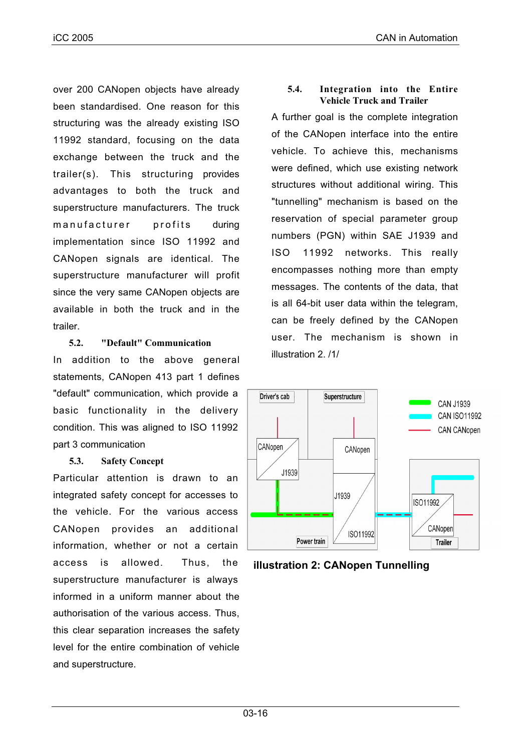over 200 CANopen objects have already been standardised. One reason for this structuring was the already existing ISO 11992 standard, focusing on the data exchange between the truck and the trailer(s). This structuring provides advantages to both the truck and superstructure manufacturers. The truck manufacturer profits during implementation since ISO 11992 and CANopen signals are identical. The superstructure manufacturer will profit since the very same CANopen objects are available in both the truck and in the trailer.

# **5.2. "Default" Communication**

In addition to the above general statements, CANopen 413 part 1 defines "default" communication, which provide a basic functionality in the delivery condition. This was aligned to ISO 11992 part 3 communication

# **5.3. Safety Concept**

Particular attention is drawn to an integrated safety concept for accesses to the vehicle. For the various access CANopen provides an additional information, whether or not a certain access is allowed. Thus, the superstructure manufacturer is always informed in a uniform manner about the authorisation of the various access. Thus, this clear separation increases the safety level for the entire combination of vehicle and superstructure.

# **5.4. Integration into the Entire Vehicle Truck and Trailer**

A further goal is the complete integration of the CANopen interface into the entire vehicle. To achieve this, mechanisms were defined, which use existing network structures without additional wiring. This "tunnelling" mechanism is based on the reservation of special parameter group numbers (PGN) within SAE J1939 and ISO 11992 networks. This really encompasses nothing more than empty messages. The contents of the data, that is all 64-bit user data within the telegram, can be freely defined by the CANopen user. The mechanism is shown in illustration 2. /1/



**illustration 2: CANopen Tunnelling**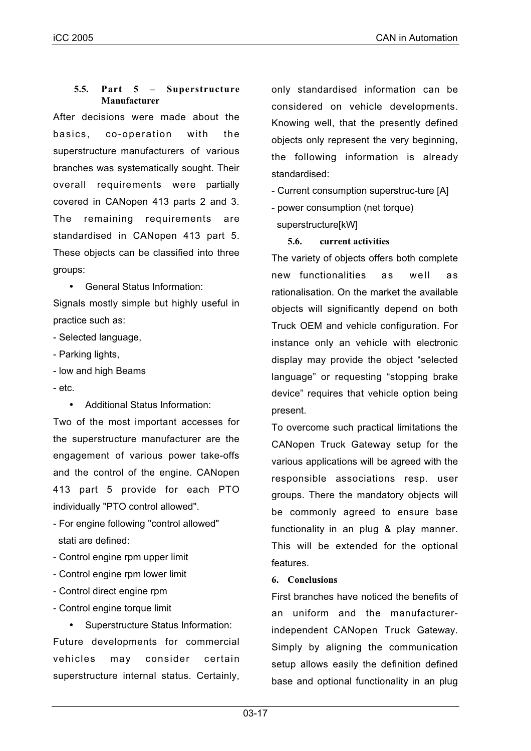# **5.5. Part 5 – Superstructure Manufacturer**

After decisions were made about the basics, co-operation with the superstructure manufacturers of various branches was systematically sought. Their overall requirements were partially covered in CANopen 413 parts 2 and 3. The remaining requirements are standardised in CANopen 413 part 5. These objects can be classified into three groups:

• General Status Information:

Signals mostly simple but highly useful in practice such as:

- Selected language,
- Parking lights,
- low and high Beams
- etc.
	- Additional Status Information:

Two of the most important accesses for the superstructure manufacturer are the engagement of various power take-offs and the control of the engine. CANopen 413 part 5 provide for each PTO individually "PTO control allowed".

- For engine following "control allowed" stati are defined:
- Control engine rpm upper limit
- Control engine rpm lower limit
- Control direct engine rpm
- Control engine torque limit

• Superstructure Status Information: Future developments for commercial vehicles may consider certain superstructure internal status. Certainly,

only standardised information can be considered on vehicle developments. Knowing well, that the presently defined objects only represent the very beginning, the following information is already standardised:

- Current consumption superstruc-ture [A]
- power consumption (net torque) superstructure[kW]

# **5.6. current activities**

The variety of objects offers both complete new functionalities as well as rationalisation. On the market the available objects will significantly depend on both Truck OEM and vehicle configuration. For instance only an vehicle with electronic display may provide the object "selected language" or requesting "stopping brake device" requires that vehicle option being present.

To overcome such practical limitations the CANopen Truck Gateway setup for the various applications will be agreed with the responsible associations resp. user groups. There the mandatory objects will be commonly agreed to ensure base functionality in an plug & play manner. This will be extended for the optional features.

# **6. Conclusions**

First branches have noticed the benefits of an uniform and the manufacturerindependent CANopen Truck Gateway. Simply by aligning the communication setup allows easily the definition defined base and optional functionality in an plug